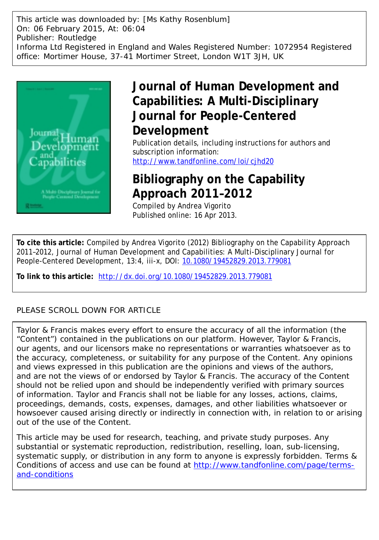This article was downloaded by: [Ms Kathy Rosenblum] On: 06 February 2015, At: 06:04 Publisher: Routledge Informa Ltd Registered in England and Wales Registered Number: 1072954 Registered office: Mortimer House, 37-41 Mortimer Street, London W1T 3JH, UK



## **Journal of Human Development and Capabilities: A Multi-Disciplinary Journal for People-Centered Development**

Publication details, including instructions for authors and subscription information: <http://www.tandfonline.com/loi/cjhd20>

## **Bibliography on the Capability Approach 2011–2012**

Compiled by Andrea Vigorito Published online: 16 Apr 2013.

**To cite this article:** Compiled by Andrea Vigorito (2012) Bibliography on the Capability Approach 2011–2012, Journal of Human Development and Capabilities: A Multi-Disciplinary Journal for People-Centered Development, 13:4, iii-x, DOI: [10.1080/19452829.2013.779081](http://www.tandfonline.com/action/showCitFormats?doi=10.1080/19452829.2013.779081)

**To link to this article:** <http://dx.doi.org/10.1080/19452829.2013.779081>

### PLEASE SCROLL DOWN FOR ARTICLE

Taylor & Francis makes every effort to ensure the accuracy of all the information (the "Content") contained in the publications on our platform. However, Taylor & Francis, our agents, and our licensors make no representations or warranties whatsoever as to the accuracy, completeness, or suitability for any purpose of the Content. Any opinions and views expressed in this publication are the opinions and views of the authors, and are not the views of or endorsed by Taylor & Francis. The accuracy of the Content should not be relied upon and should be independently verified with primary sources of information. Taylor and Francis shall not be liable for any losses, actions, claims, proceedings, demands, costs, expenses, damages, and other liabilities whatsoever or howsoever caused arising directly or indirectly in connection with, in relation to or arising out of the use of the Content.

This article may be used for research, teaching, and private study purposes. Any substantial or systematic reproduction, redistribution, reselling, loan, sub-licensing, systematic supply, or distribution in any form to anyone is expressly forbidden. Terms & Conditions of access and use can be found at [http://www.tandfonline.com/page/terms](http://www.tandfonline.com/page/terms-and-conditions)[and-conditions](http://www.tandfonline.com/page/terms-and-conditions)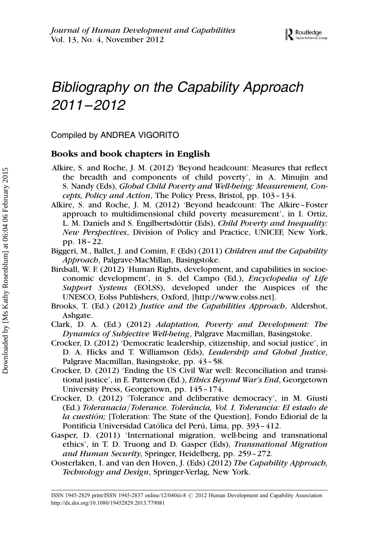# Bibliography on the Capability Approach 2011–2012

Compiled by ANDREA VIGORITO

#### Books and book chapters in English

- Alkire, S. and Roche, J. M. (2012) 'Beyond headcount: Measures that reflect the breadth and components of child poverty', in A. Minujin and S. Nandy (Eds), Global Child Poverty and Well-being: Measurement, Concepts, Policy and Action, The Policy Press, Bristol, pp. 103–134.
- Alkire, S. and Roche, J. M. (2012) 'Beyond headcount: The Alkire–Foster approach to multidimensional child poverty measurement', in I. Ortiz, L. M. Daniels and S. Engilbertsdottir (Eds), *Child Poverty and Inequality:* New Perspectives, Division of Policy and Practice, UNICEF, New York, pp. 18–22.
- Biggeri, M., Ballet, J. and Comim, F. (Eds) (2011) Children and the Capability Approach, Palgrave-MacMillan, Basingstoke.
- Birdsall, W. F. (2012) 'Human Rights, development, and capabilities in socioeconomic development', in S. del Campo (Ed.), Encyclopedia of Life Support Systems (EOLSS), developed under the Auspices of the UNESCO, Eolss Publishers, Oxford, [http://www.eolss.net].
- Brooks, T. (Ed.) (2012) Justice and the Capabilities Approach, Aldershot, Ashgate.
- Clark, D. A. (Ed.) (2012) Adaptation, Poverty and Development: The Dynamics of Subjective Well-being, Palgrave Macmillan, Basingstoke.
- Crocker, D. (2012) 'Democratic leadership, citizenship, and social justice', in D. A. Hicks and T. Williamson (Eds), Leadership and Global Justice, Palgrave Macmillan, Basingstoke, pp. 43–58.
- Crocker, D. (2012) 'Ending the US Civil War well: Reconciliation and transitional justice', in E. Patterson (Ed.), *Ethics Beyond War's End*, Georgetown University Press, Georgetown, pp. 145–174.
- Crocker, D. (2012) 'Tolerance and deliberative democracy', in M. Giusti (Ed.) Toleranacia/Tolerance. Tolerância, Vol. I. Tolerancia: El estado de la cuestión; [Toleration: The State of the Question], Fondo Ediorial de la Pontificia Universidad Católica del Perú, Lima, pp. 393-412.
- Gasper, D. (2011) 'International migration, well-being and transnational ethics', in T. D. Truong and D. Gasper (Eds), Transnational Migration and Human Security, Springer, Heidelberg, pp. 259–272.
- Oosterlaken, I. and van den Hoven, J. (Eds) (2012) The Capability Approach, Technology and Design, Springer-Verlag, New York.

ISSN 1945-2829 print/ISSN 1945-2837 online/12/040iii-8 @ 2012 Human Development and Capability Association http://dx.doi.org/10.1080/19452829.2013.779081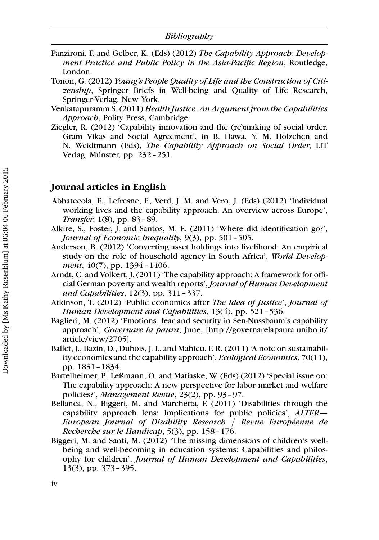- Panzironi, F. and Gelber, K. (Eds) (2012) The Capability Approach: Development Practice and Public Policy in the Asia-Pacific Region, Routledge, London.
- Tonon, G. (2012) Young's People Quality of Life and the Construction of Citizenship, Springer Briefs in Well-being and Quality of Life Research, Springer-Verlag, New York.
- Venkatapuramm S. (2011) Health Justice. An Argument from the Capabilities Approach, Polity Press, Cambridge.
- Ziegler, R. (2012) 'Capability innovation and the (re)making of social order. Gram Vikas and Social Agreement', in B. Hawa, Y. M. Hölzchen and N. Weidtmann (Eds), The Capability Approach on Social Order, LIT Verlag, Münster, pp. 232–251.

#### Journal articles in English

- Abbatecola, E., Lefresne, F., Verd, J. M. and Vero, J. (Eds) (2012) 'Individual working lives and the capability approach. An overview across Europe', Transfer, 1(8), pp. 83–89.
- Alkire, S., Foster, J. and Santos, M. E. (2011) 'Where did identification go?', Journal of Economic Inequality, 9(3), pp. 501–505.
- Anderson, B. (2012) 'Converting asset holdings into livelihood: An empirical study on the role of household agency in South Africa', World Development, 40(7), pp. 1394 - 1406.
- Arndt, C. and Volkert, J. (2011) 'The capability approach: A framework for official German poverty and wealth reports', Journal of Human Development and Capabilities, 12(3), pp. 311–337.
- Atkinson, T. (2012) 'Public economics after The Idea of Justice', Journal of Human Development and Capabilities, 13(4), pp. 521–536.
- Baglieri, M. (2012) 'Emotions, fear and security in Sen-Nussbaum's capability approach', Governare la paura, June, [[http://governarelapaura.unibo.it/](http://governarelapaura.unibo.it/article/view/2705) [article/view/2705\]](http://governarelapaura.unibo.it/article/view/2705).
- Ballet, J., Bazin, D., Dubois, J. L. and Mahieu, F. R. (2011) 'A note on sustainability economics and the capability approach', Ecological Economics, 70(11), pp. 1831–1834.
- Bartelheimer, P., Leßmann, O. and Matiaske, W. (Eds) (2012) 'Special issue on: The capability approach: A new perspective for labor market and welfare policies?', Management Revue, 23(2), pp. 93–97.
- Bellanca, N., Biggeri, M. and Marchetta, F. (2011) 'Disabilities through the capability approach lens: Implications for public policies', ALTER— European Journal of Disability Research / Revue Européenne de Recherche sur le Handicap, 5(3), pp. 158–176.
- Biggeri, M. and Santi, M. (2012) 'The missing dimensions of children's wellbeing and well-becoming in education systems: Capabilities and philosophy for children', Journal of Human Development and Capabilities, 13(3), pp. 373–395.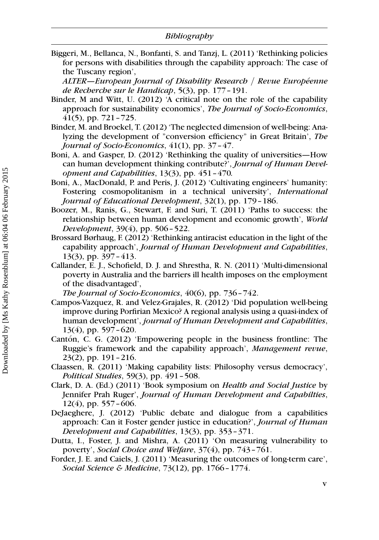Biggeri, M., Bellanca, N., Bonfanti, S. and Tanzj, L. (2011) 'Rethinking policies for persons with disabilities through the capability approach: The case of the Tuscany region',

 $ALTER-European Journal of Disability Research / Review Europe$ de Recherche sur le Handicap, 5(3), pp. 177–191.

- Binder, M and Witt, U. (2012) 'A critical note on the role of the capability approach for sustainability economics', The Journal of Socio-Economics, 41(5), pp. 721–725.
- Binder, M. and Broekel, T. (2012) 'The neglected dimension of well-being: Analyzing the development of "conversion efficiency" in Great Britain', The Journal of Socio-Economics, 41(1), pp. 37–47.
- Boni, A. and Gasper, D. (2012) 'Rethinking the quality of universities—How can human development thinking contribute?', Journal of Human Development and Capabilities, 13(3), pp. 451–470.
- Boni, A., MacDonald, P. and Peris, J. (2012) 'Cultivating engineers' humanity: Fostering cosmopolitanism in a technical university', International Journal of Educational Development, 32(1), pp. 179–186.
- Boozer, M., Ranis, G., Stewart, F. and Suri, T. (2011) 'Paths to success: the relationship between human development and economic growth', World Development, 39(4), pp. 506–522.
- Brossard Børhaug, F. (2012) 'Rethinking antiracist education in the light of the capability approach', Journal of Human Development and Capabilities, 13(3), pp. 397–413.
- Callander, E. J., Schofield, D. J. and Shrestha, R. N. (2011) 'Multi-dimensional poverty in Australia and the barriers ill health imposes on the employment of the disadvantaged',

The Journal of Socio-Economics, 40(6), pp. 736–742.

- Campos-Vazquez, R. and Velez-Grajales, R. (2012) 'Did population well-being improve during Porfirian Mexico? A regional analysis using a quasi-index of human development', journal of Human Development and Capabilities, 13(4), pp. 597–620.
- Cantón, C. G. (2012) 'Empowering people in the business frontline: The Ruggie's framework and the capability approach', Management revue, 23(2), pp. 191–216.
- Claassen, R. (2011) 'Making capability lists: Philosophy versus democracy', Political Studies, 59(3), pp. 491–508.
- Clark, D. A. (Ed.) (2011) 'Book symposium on Health and Social Justice by Jennifer Prah Ruger', Journal of Human Development and Capabilties, 12(4), pp. 557–606.
- DeJaeghere, J. (2012) 'Public debate and dialogue from a capabilities approach: Can it Foster gender justice in education?', Journal of Human Development and Capabilities, 13(3), pp. 353–371.
- Dutta, I., Foster, J. and Mishra, A. (2011) 'On measuring vulnerability to poverty', Social Choice and Welfare, 37(4), pp. 743–761.
- Forder, J. E. and Caiels, J. (2011) 'Measuring the outcomes of long-term care', Social Science & Medicine, 73(12), pp. 1766–1774.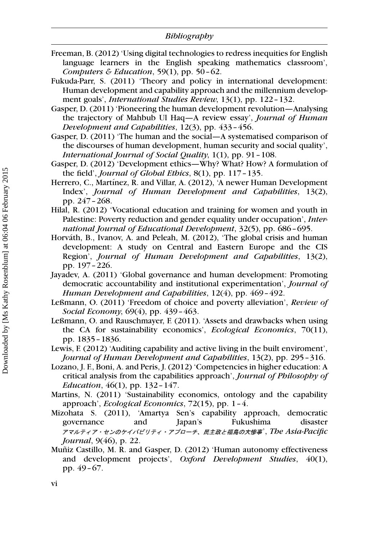- Freeman, B. (2012) 'Using digital technologies to redress inequities for English language learners in the English speaking mathematics classroom', Computers & Education, 59(1), pp. 50–62.
- Fukuda-Parr, S. (2011) 'Theory and policy in international development: Human development and capability approach and the millennium development goals', *International Studies Review*, 13(1), pp. 122-132.
- Gasper, D. (2011) 'Pioneering the human development revolution—Analysing the trajectory of Mahbub Ul Haq—A review essay', Journal of Human Development and Capabilities, 12(3), pp. 433–456.
- Gasper, D. (2011) 'The human and the social—A systematised comparison of the discourses of human development, human security and social quality', International Journal of Social Quality, 1(1), pp. 91–108.
- Gasper, D. (2012) 'Development ethics—Why? What? How? A formulation of the field', Journal of Global Ethics, 8(1), pp. 117–135.
- Herrero, C., Martínez, R. and Villar, A. (2012), 'A newer Human Development Index', Journal of Human Development and Capabilities, 13(2), pp. 247–268.
- Hilal, R. (2012) 'Vocational education and training for women and youth in Palestine: Poverty reduction and gender equality under occupation', International Journal of Educational Development, 32(5), pp. 686–695.
- Horváth, B., Ivanov, A. and Peleah, M. (2012), 'The global crisis and human development: A study on Central and Eastern Europe and the CIS Region', Journal of Human Development and Capabilities, 13(2), pp. 197–226.
- Jayadev, A. (2011) 'Global governance and human development: Promoting democratic accountability and institutional experimentation', Journal of Human Development and Capabilities, 12(4), pp. 469–492.
- Leßmann, O. (2011) 'Freedom of choice and poverty alleviation', Review of Social Economy, 69(4), pp. 439–463.
- Leßmann, O. and Rauschmayer, F. (2011). 'Assets and drawbacks when using the CA for sustainability economics', Ecological Economics, 70(11), pp. 1835–1836.
- Lewis, F. (2012) 'Auditing capability and active living in the built enviroment', Journal of Human Development and Capabilities, 13(2), pp. 295–316.
- Lozano, J. F., Boni, A. and Peris, J. (2012) 'Competencies in higher education: A critical analysis from the capabilities approach', Journal of Philosophy of Education,  $46(1)$ , pp. 132 – 147.
- Martins, N. (2011) 'Sustainability economics, ontology and the capability approach', Ecological Economics, 72(15), pp. 1–4.
- Mizohata S. (2011), 'Amartya Sen's capability approach, democratic governance and Japan's Fukushima disaster アマルティア・センのケイパビリティ・アプローチ、民主政と福島の大惨事'、The Asia-Pacific Journal, 9(46), p. 22.
- Muñiz Castillo, M. R. and Gasper, D. (2012) 'Human autonomy effectiveness and development projects', Oxford Development Studies, 40(1), pp. 49–67.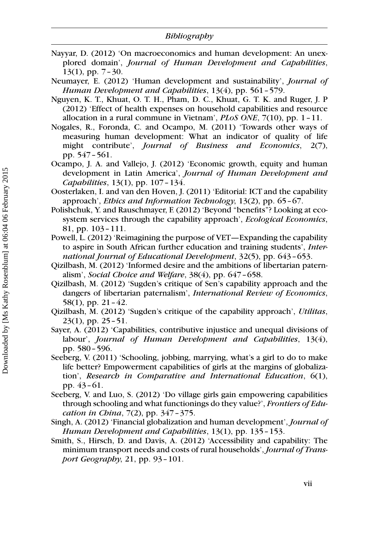- Nayyar, D. (2012) 'On macroeconomics and human development: An unexplored domain', Journal of Human Development and Capabilities, 13(1), pp. 7–30.
- Neumayer, E. (2012) 'Human development and sustainability', Journal of Human Development and Capabilities, 13(4), pp. 561–579.
- Nguyen, K. T., Khuat, O. T. H., Pham, D. C., Khuat, G. T. K. and Ruger, J. P (2012) 'Effect of health expenses on household capabilities and resource allocation in a rural commune in Vietnam',  $PLoS$  ONE,  $7(10)$ , pp. 1 - 11.
- Nogales, R., Foronda, C. and Ocampo, M. (2011) 'Towards other ways of measuring human development: What an indicator of quality of life might contribute', *Journal of Business and Economics*, 2(7), pp. 547–561.
- Ocampo, J. A. and Vallejo, J. (2012) 'Economic growth, equity and human development in Latin America', Journal of Human Development and Capabilities, 13(1), pp. 107–134.
- Oosterlaken, I. and van den Hoven, J. (2011) 'Editorial: ICT and the capability approach', Ethics and Information Technology, 13(2), pp. 65–67.
- Polishchuk, Y. and Rauschmayer, F. (2012) 'Beyond "benefits"? Looking at ecosystem services through the capability approach', Ecological Economics, 81, pp. 103–111.
- Powell, L. (2012) 'Reimagining the purpose of VET—Expanding the capability to aspire in South African further education and training students', International Journal of Educational Development, 32(5), pp. 643–653.
- Qizilbash, M. (2012) 'Informed desire and the ambitions of libertarian paternalism', Social Choice and Welfare, 38(4), pp. 647-658.
- Qizilbash, M. (2012) 'Sugden's critique of Sen's capability approach and the dangers of libertarian paternalism', International Review of Economics, 58(1), pp. 21–42.
- Qizilbash, M. (2012) 'Sugden's critique of the capability approach', Utilitas, 23(1), pp. 25–51.
- Sayer, A. (2012) 'Capabilities, contributive injustice and unequal divisions of labour', Journal of Human Development and Capabilities, 13(4), pp. 580–596.
- Seeberg, V. (2011) 'Schooling, jobbing, marrying, what's a girl to do to make life better? Empowerment capabilities of girls at the margins of globalization', Research in Comparative and International Education, 6(1), pp. 43–61.
- Seeberg, V. and Luo, S. (2012) 'Do village girls gain empowering capabilities through schooling and what functionings do they value?', Frontiers of Education in China, 7(2), pp. 347 - 375.
- Singh, A. (2012) 'Financial globalization and human development', Journal of Human Development and Capabilities, 13(1), pp. 135–153.
- Smith, S., Hirsch, D. and Davis, A. (2012) 'Accessibility and capability: The minimum transport needs and costs of rural households', Journal of Transport Geography, 21, pp. 93–101.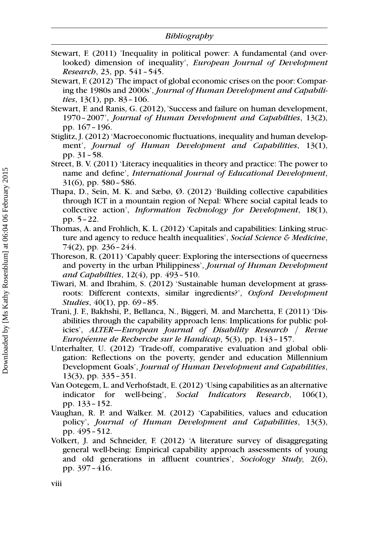- Stewart, F. (2011) 'Inequality in political power: A fundamental (and overlooked) dimension of inequality', European Journal of Development Research, 23, pp. 541–545.
- Stewart, F. (2012) 'The impact of global economic crises on the poor: Comparing the 1980s and 2000s', Journal of Human Development and Capabilities,  $13(1)$ , pp.  $83 - 106$ .
- Stewart, F. and Ranis, G. (2012),'Success and failure on human development, 1970–2007', Journal of Human Development and Capabilties, 13(2), pp. 167–196.
- Stiglitz, J. (2012) 'Macroeconomic fluctuations, inequality and human development', Journal of Human Development and Capabilities, 13(1), pp. 31–58.
- Street, B. V. (2011) 'Literacy inequalities in theory and practice: The power to name and define', International Journal of Educational Development, 31(6), pp. 580–586.
- Thapa, D., Sein, M. K. and Sæbø, Ø. (2012) 'Building collective capabilities through ICT in a mountain region of Nepal: Where social capital leads to collective action', *Information Technology for Development*, 18(1), pp. 5–22.
- Thomas, A. and Frohlich, K. L. (2012) 'Capitals and capabilities: Linking structure and agency to reduce health inequalities', Social Science & Medicine, 74(2), pp. 236–244.
- Thoreson, R. (2011) 'Capably queer: Exploring the intersections of queerness and poverty in the urban Philippiness', Journal of Human Development and Capabilties, 12(4), pp. 493–510.
- Tiwari, M. and Ibrahim, S. (2012) 'Sustainable human development at grassroots: Different contexts, similar ingredients?', Oxford Development Studies, 40(1), pp. 69–85.
- Trani, J. F., Bakhshi, P., Bellanca, N., Biggeri, M. and Marchetta, F. (2011) 'Disabilities through the capability approach lens: Implications for public policies', ALTER—European Journal of Disability Research / Revue Européenne de Recherche sur le Handicap, 5(3), pp. 143-157.
- Unterhalter, U. (2012) 'Trade-off, comparative evaluation and global obligation: Reflections on the poverty, gender and education Millennium Development Goals', Journal of Human Development and Capabilities, 13(3), pp. 335–351.
- Van Ootegem, L. and Verhofstadt, E. (2012) 'Using capabilities as an alternative indicator for well-being', Social Indicators Research, 106(1), pp. 133–152.
- Vaughan, R. P. and Walker. M. (2012) 'Capabilities, values and education policy', Journal of Human Development and Capabilities, 13(3), pp. 495–512.
- Volkert, J. and Schneider, F. (2012) 'A literature survey of disaggregating general well-being: Empirical capability approach assessments of young and old generations in affluent countries', Sociology Study, 2(6), pp. 397–416.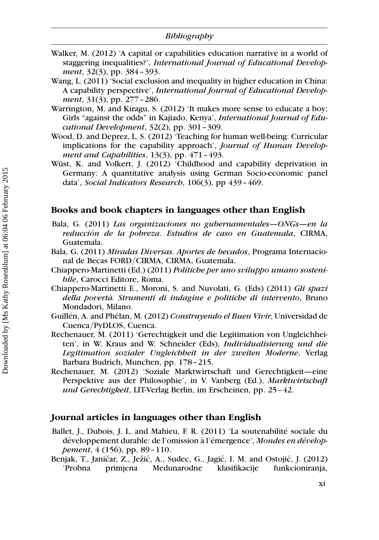- Walker, M. (2012) 'A capital or capabilities education narrative in a world of staggering inequalities?', International Journal of Educational Development, 32(3), pp. 384–393.
- Wang, L. (2011) 'Social exclusion and inequality in higher education in China: A capability perspective', International Journal of Educational Development, 31(3), pp. 277 - 286.
- Warrington, M. and Kiragu, S. (2012) 'It makes more sense to educate a boy: Girls "against the odds" in Kajiado, Kenya', International Journal of Educational Development,  $32(2)$ , pp.  $301-309$ .
- Wood, D. and Deprez, L. S. (2012) 'Teaching for human well-being: Curricular implications for the capability approach', Journal of Human Development and Capabilities,  $13(3)$ , pp.  $471-493$ .
- Wüst, K. and Volkert, J. (2012) 'Childhood and capability deprivation in Germany: A quantitative analysis using German Socio-economic panel data', Social Indicators Research, 106(3), pp 439-469.

#### Books and book chapters in languages other than English

- Bala, G. (2011) Las organizaciones no gubernamentales—ONGs—en la reducción de la pobreza. Estudios de caso en Guatemala, CIRMA, Guatemala.
- Bala, G. (2011) Miradas Diversas. Aportes de becados, Programa Internacional de Becas FORD/CIRMA, CIRMA, Guatemala.
- Chiappero-Martinetti (Ed.) (2011) Politiche per uno sviluppo umano sostenibile, Carocci Editore, Roma.
- Chiappero-Martinetti E., Moroni, S. and Nuvolati, G. (Eds) (2011) Gli spazi della povertà. Strumenti di indagine e politiche di intervento, Bruno Mondadori, Milano.
- Guillén, A. and Phélan, M. (2012) Construyendo el Buen Vivir, Universidad de Cuenca/PyDLOS, Cuenca.
- Rechenauer, M. (2011) 'Gerechtigkeit und die Legitimation von Ungleichheiten', in W. Kraus and W. Schneider (Eds), Individualisierung und die Legitimation sozialer Ungleichheit in der zweiten Moderne, Verlag Barbara Budrich, Munchen, pp. 178–215.
- Rechenauer, M. (2012) 'Soziale Marktwirtschaft und Gerechtigkeit—eine Perspektive aus der Philosophie', in V. Vanberg (Ed.), Marktwirtschaft und Gerechtigkeit, LIT-Verlag Berlin, im Erscheinen, pp. 25–42.

#### Journal articles in languages other than English

- Ballet, J., Dubois, J. L. and Mahieu, F. R. (2011) 'La soutenabilité sociale du développement durable: de l'omission à l'émergence', Mondes en développement, 4 (156), pp. 89–110.
- Benjak, T., Janičar, Z., Ježić, A., Sudec, G., Jagić, I. M. and Ostojić, J. (2012) 'Probna primjena Medunarodne klasifikacije funkcioniranja,